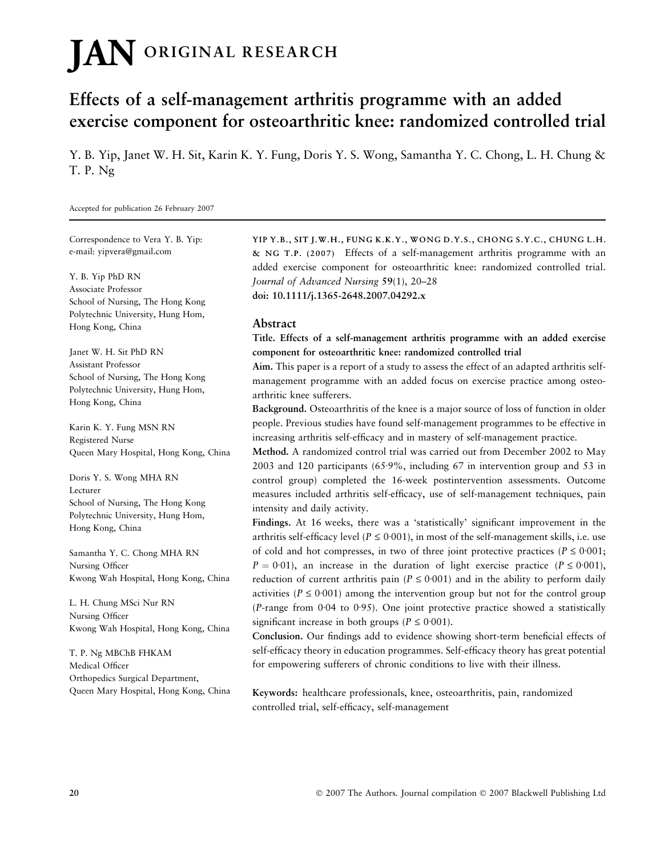# **JAN** ORIGINAL RESEARCH

# Effects of a self-management arthritis programme with an added exercise component for osteoarthritic knee: randomized controlled trial

Y. B. Yip, Janet W. H. Sit, Karin K. Y. Fung, Doris Y. S. Wong, Samantha Y. C. Chong, L. H. Chung & T. P. Ng

Accepted for publication 26 February 2007

Correspondence to Vera Y. B. Yip: e-mail: yipvera@gmail.com

Y. B. Yip PhD RN Associate Professor School of Nursing, The Hong Kong Polytechnic University, Hung Hom, Hong Kong, China

Janet W. H. Sit PhD RN Assistant Professor School of Nursing, The Hong Kong Polytechnic University, Hung Hom, Hong Kong, China

Karin K. Y. Fung MSN RN Registered Nurse Queen Mary Hospital, Hong Kong, China

Doris Y. S. Wong MHA RN Lecturer School of Nursing, The Hong Kong Polytechnic University, Hung Hom, Hong Kong, China

Samantha Y. C. Chong MHA RN Nursing Officer Kwong Wah Hospital, Hong Kong, China

L. H. Chung MSci Nur RN Nursing Officer Kwong Wah Hospital, Hong Kong, China

T. P. Ng MBChB FHKAM Medical Officer Orthopedics Surgical Department, Queen Mary Hospital, Hong Kong, China YIP Y.B., SIT J.W.H., FUNG K.K.Y., WONG D.Y.S., CHONG S.Y.C., CHUNG L.H. & NG T.P. (2007) Effects of a self-management arthritis programme with an added exercise component for osteoarthritic knee: randomized controlled trial. Journal of Advanced Nursing 59(1), 20–28 doi: 10.1111/j.1365-2648.2007.04292.x

#### Abstract

Title. Effects of a self-management arthritis programme with an added exercise component for osteoarthritic knee: randomized controlled trial

Aim. This paper is a report of a study to assess the effect of an adapted arthritis selfmanagement programme with an added focus on exercise practice among osteoarthritic knee sufferers.

Background. Osteoarthritis of the knee is a major source of loss of function in older people. Previous studies have found self-management programmes to be effective in increasing arthritis self-efficacy and in mastery of self-management practice.

Method. A randomized control trial was carried out from December 2002 to May 2003 and 120 participants (65.9%, including 67 in intervention group and 53 in control group) completed the 16-week postintervention assessments. Outcome measures included arthritis self-efficacy, use of self-management techniques, pain intensity and daily activity.

Findings. At 16 weeks, there was a 'statistically' significant improvement in the arthritis self-efficacy level ( $P \le 0.001$ ), in most of the self-management skills, i.e. use of cold and hot compresses, in two of three joint protective practices ( $P \le 0.001$ ;  $P = 0.01$ ), an increase in the duration of light exercise practice ( $P \le 0.001$ ), reduction of current arthritis pain ( $P \le 0.001$ ) and in the ability to perform daily activities ( $P \le 0.001$ ) among the intervention group but not for the control group (P-range from  $0.04$  to  $0.95$ ). One joint protective practice showed a statistically significant increase in both groups ( $P \le 0.001$ ).

Conclusion. Our findings add to evidence showing short-term beneficial effects of self-efficacy theory in education programmes. Self-efficacy theory has great potential for empowering sufferers of chronic conditions to live with their illness.

Keywords: healthcare professionals, knee, osteoarthritis, pain, randomized controlled trial, self-efficacy, self-management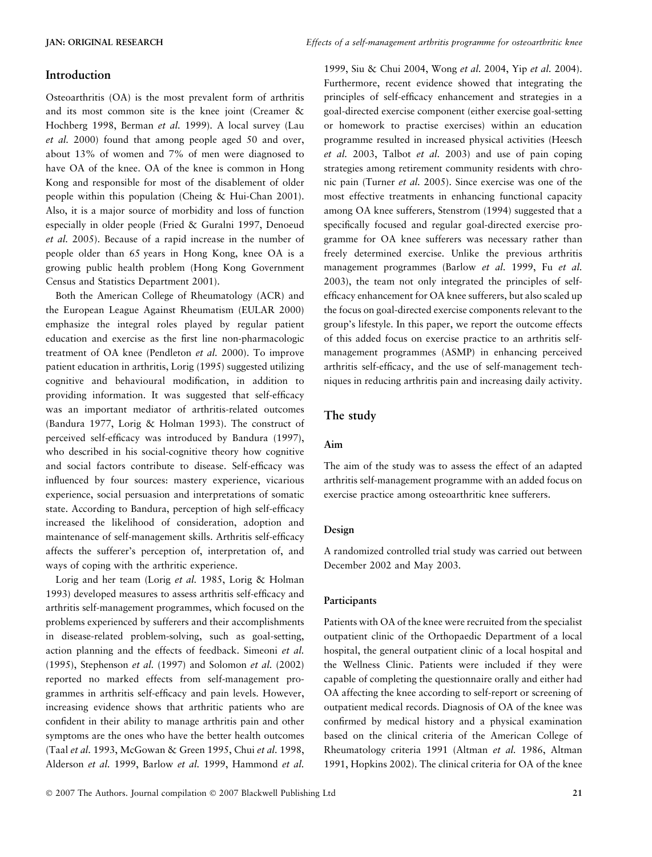#### Introduction

Osteoarthritis (OA) is the most prevalent form of arthritis and its most common site is the knee joint (Creamer & Hochberg 1998, Berman et al. 1999). A local survey (Lau et al. 2000) found that among people aged 50 and over, about 13% of women and 7% of men were diagnosed to have OA of the knee. OA of the knee is common in Hong Kong and responsible for most of the disablement of older people within this population (Cheing & Hui-Chan 2001). Also, it is a major source of morbidity and loss of function especially in older people (Fried & Guralni 1997, Denoeud et al. 2005). Because of a rapid increase in the number of people older than 65 years in Hong Kong, knee OA is a growing public health problem (Hong Kong Government Census and Statistics Department 2001).

Both the American College of Rheumatology (ACR) and the European League Against Rheumatism (EULAR 2000) emphasize the integral roles played by regular patient education and exercise as the first line non-pharmacologic treatment of OA knee (Pendleton et al. 2000). To improve patient education in arthritis, Lorig (1995) suggested utilizing cognitive and behavioural modification, in addition to providing information. It was suggested that self-efficacy was an important mediator of arthritis-related outcomes (Bandura 1977, Lorig & Holman 1993). The construct of perceived self-efficacy was introduced by Bandura (1997), who described in his social-cognitive theory how cognitive and social factors contribute to disease. Self-efficacy was influenced by four sources: mastery experience, vicarious experience, social persuasion and interpretations of somatic state. According to Bandura, perception of high self-efficacy increased the likelihood of consideration, adoption and maintenance of self-management skills. Arthritis self-efficacy affects the sufferer's perception of, interpretation of, and ways of coping with the arthritic experience.

Lorig and her team (Lorig et al. 1985, Lorig & Holman 1993) developed measures to assess arthritis self-efficacy and arthritis self-management programmes, which focused on the problems experienced by sufferers and their accomplishments in disease-related problem-solving, such as goal-setting, action planning and the effects of feedback. Simeoni et al. (1995), Stephenson et al. (1997) and Solomon et al. (2002) reported no marked effects from self-management programmes in arthritis self-efficacy and pain levels. However, increasing evidence shows that arthritic patients who are confident in their ability to manage arthritis pain and other symptoms are the ones who have the better health outcomes (Taal et al. 1993, McGowan & Green 1995, Chui et al. 1998, Alderson et al. 1999, Barlow et al. 1999, Hammond et al.

1999, Siu & Chui 2004, Wong et al. 2004, Yip et al. 2004). Furthermore, recent evidence showed that integrating the principles of self-efficacy enhancement and strategies in a goal-directed exercise component (either exercise goal-setting or homework to practise exercises) within an education programme resulted in increased physical activities (Heesch et al. 2003, Talbot et al. 2003) and use of pain coping strategies among retirement community residents with chronic pain (Turner et al. 2005). Since exercise was one of the most effective treatments in enhancing functional capacity among OA knee sufferers, Stenstrom (1994) suggested that a specifically focused and regular goal-directed exercise programme for OA knee sufferers was necessary rather than freely determined exercise. Unlike the previous arthritis management programmes (Barlow et al. 1999, Fu et al. 2003), the team not only integrated the principles of selfefficacy enhancement for OA knee sufferers, but also scaled up the focus on goal-directed exercise components relevant to the group's lifestyle. In this paper, we report the outcome effects of this added focus on exercise practice to an arthritis selfmanagement programmes (ASMP) in enhancing perceived arthritis self-efficacy, and the use of self-management techniques in reducing arthritis pain and increasing daily activity.

#### The study

#### Aim

The aim of the study was to assess the effect of an adapted arthritis self-management programme with an added focus on exercise practice among osteoarthritic knee sufferers.

#### Design

A randomized controlled trial study was carried out between December 2002 and May 2003.

#### Participants

Patients with OA of the knee were recruited from the specialist outpatient clinic of the Orthopaedic Department of a local hospital, the general outpatient clinic of a local hospital and the Wellness Clinic. Patients were included if they were capable of completing the questionnaire orally and either had OA affecting the knee according to self-report or screening of outpatient medical records. Diagnosis of OA of the knee was confirmed by medical history and a physical examination based on the clinical criteria of the American College of Rheumatology criteria 1991 (Altman et al. 1986, Altman 1991, Hopkins 2002). The clinical criteria for OA of the knee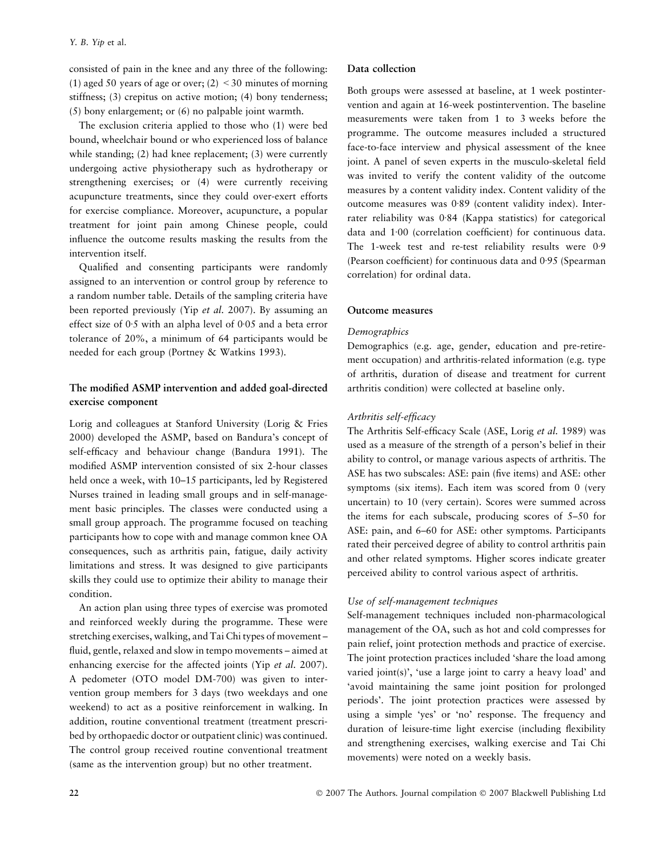consisted of pain in the knee and any three of the following: (1) aged 50 years of age or over;  $(2) < 30$  minutes of morning stiffness; (3) crepitus on active motion; (4) bony tenderness; (5) bony enlargement; or (6) no palpable joint warmth.

The exclusion criteria applied to those who (1) were bed bound, wheelchair bound or who experienced loss of balance while standing; (2) had knee replacement; (3) were currently undergoing active physiotherapy such as hydrotherapy or strengthening exercises; or (4) were currently receiving acupuncture treatments, since they could over-exert efforts for exercise compliance. Moreover, acupuncture, a popular treatment for joint pain among Chinese people, could influence the outcome results masking the results from the intervention itself.

Qualified and consenting participants were randomly assigned to an intervention or control group by reference to a random number table. Details of the sampling criteria have been reported previously (Yip et al. 2007). By assuming an effect size of  $0.5$  with an alpha level of  $0.05$  and a beta error tolerance of 20%, a minimum of 64 participants would be needed for each group (Portney & Watkins 1993).

# The modified ASMP intervention and added goal-directed exercise component

Lorig and colleagues at Stanford University (Lorig & Fries 2000) developed the ASMP, based on Bandura's concept of self-efficacy and behaviour change (Bandura 1991). The modified ASMP intervention consisted of six 2-hour classes held once a week, with 10–15 participants, led by Registered Nurses trained in leading small groups and in self-management basic principles. The classes were conducted using a small group approach. The programme focused on teaching participants how to cope with and manage common knee OA consequences, such as arthritis pain, fatigue, daily activity limitations and stress. It was designed to give participants skills they could use to optimize their ability to manage their condition.

An action plan using three types of exercise was promoted and reinforced weekly during the programme. These were stretching exercises, walking, and Tai Chi types of movement – fluid, gentle, relaxed and slow in tempo movements – aimed at enhancing exercise for the affected joints (Yip et al. 2007). A pedometer (OTO model DM-700) was given to intervention group members for 3 days (two weekdays and one weekend) to act as a positive reinforcement in walking. In addition, routine conventional treatment (treatment prescribed by orthopaedic doctor or outpatient clinic) was continued. The control group received routine conventional treatment (same as the intervention group) but no other treatment.

#### Data collection

Both groups were assessed at baseline, at 1 week postintervention and again at 16-week postintervention. The baseline measurements were taken from 1 to 3 weeks before the programme. The outcome measures included a structured face-to-face interview and physical assessment of the knee joint. A panel of seven experts in the musculo-skeletal field was invited to verify the content validity of the outcome measures by a content validity index. Content validity of the outcome measures was 0.89 (content validity index). Interrater reliability was 0.84 (Kappa statistics) for categorical data and 1.00 (correlation coefficient) for continuous data. The 1-week test and re-test reliability results were  $0.9$ (Pearson coefficient) for continuous data and  $0.95$  (Spearman correlation) for ordinal data.

#### Outcome measures

#### **Demographics**

Demographics (e.g. age, gender, education and pre-retirement occupation) and arthritis-related information (e.g. type of arthritis, duration of disease and treatment for current arthritis condition) were collected at baseline only.

#### Arthritis self-efficacy

The Arthritis Self-efficacy Scale (ASE, Lorig et al. 1989) was used as a measure of the strength of a person's belief in their ability to control, or manage various aspects of arthritis. The ASE has two subscales: ASE: pain (five items) and ASE: other symptoms (six items). Each item was scored from 0 (very uncertain) to 10 (very certain). Scores were summed across the items for each subscale, producing scores of 5–50 for ASE: pain, and 6–60 for ASE: other symptoms. Participants rated their perceived degree of ability to control arthritis pain and other related symptoms. Higher scores indicate greater perceived ability to control various aspect of arthritis.

#### Use of self-management techniques

Self-management techniques included non-pharmacological management of the OA, such as hot and cold compresses for pain relief, joint protection methods and practice of exercise. The joint protection practices included 'share the load among varied joint(s)', 'use a large joint to carry a heavy load' and 'avoid maintaining the same joint position for prolonged periods'. The joint protection practices were assessed by using a simple 'yes' or 'no' response. The frequency and duration of leisure-time light exercise (including flexibility and strengthening exercises, walking exercise and Tai Chi movements) were noted on a weekly basis.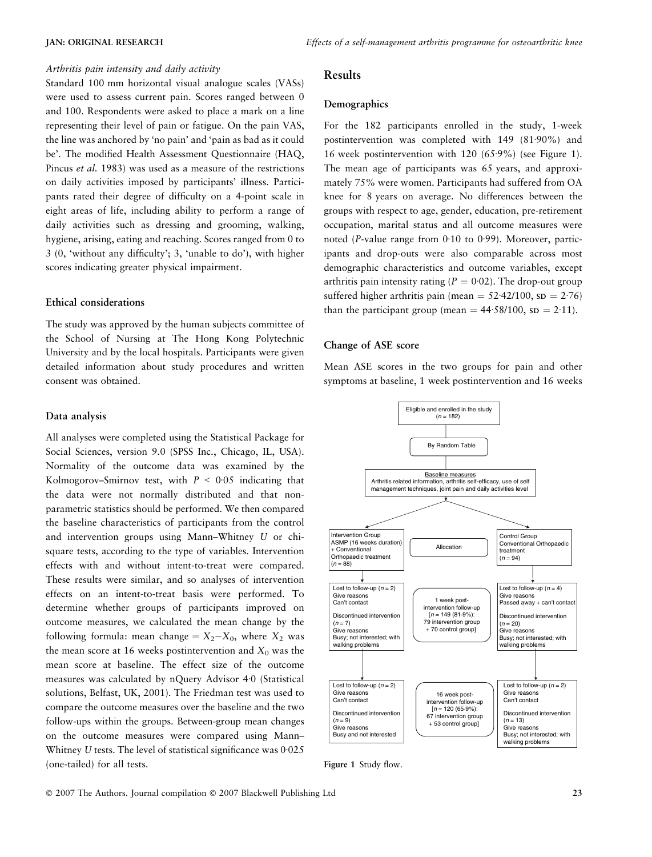#### Arthritis pain intensity and daily activity

Standard 100 mm horizontal visual analogue scales (VASs) were used to assess current pain. Scores ranged between 0 and 100. Respondents were asked to place a mark on a line representing their level of pain or fatigue. On the pain VAS, the line was anchored by 'no pain' and 'pain as bad as it could be'. The modified Health Assessment Questionnaire (HAQ, Pincus et al. 1983) was used as a measure of the restrictions on daily activities imposed by participants' illness. Participants rated their degree of difficulty on a 4-point scale in eight areas of life, including ability to perform a range of daily activities such as dressing and grooming, walking, hygiene, arising, eating and reaching. Scores ranged from 0 to 3 (0, 'without any difficulty'; 3, 'unable to do'), with higher scores indicating greater physical impairment.

#### Ethical considerations

The study was approved by the human subjects committee of the School of Nursing at The Hong Kong Polytechnic University and by the local hospitals. Participants were given detailed information about study procedures and written consent was obtained.

#### Data analysis

All analyses were completed using the Statistical Package for Social Sciences, version 9.0 (SPSS Inc., Chicago, IL, USA). Normality of the outcome data was examined by the Kolmogorov–Smirnov test, with  $P < 0.05$  indicating that the data were not normally distributed and that nonparametric statistics should be performed. We then compared the baseline characteristics of participants from the control and intervention groups using Mann–Whitney U or chisquare tests, according to the type of variables. Intervention effects with and without intent-to-treat were compared. These results were similar, and so analyses of intervention effects on an intent-to-treat basis were performed. To determine whether groups of participants improved on outcome measures, we calculated the mean change by the following formula: mean change  $=X_2-X_0$ , where  $X_2$  was the mean score at 16 weeks postintervention and  $X_0$  was the mean score at baseline. The effect size of the outcome measures was calculated by  $nQu$ ery Advisor 4.0 (Statistical solutions, Belfast, UK, 2001). The Friedman test was used to compare the outcome measures over the baseline and the two follow-ups within the groups. Between-group mean changes on the outcome measures were compared using Mann– Whitney  $U$  tests. The level of statistical significance was  $0.025$ (one-tailed) for all tests.

#### Results

#### Demographics

For the 182 participants enrolled in the study, 1-week postintervention was completed with  $149$  (81.90%) and 16 week postintervention with  $120 (65.9%)$  (see Figure 1). The mean age of participants was 65 years, and approximately 75% were women. Participants had suffered from OA knee for 8 years on average. No differences between the groups with respect to age, gender, education, pre-retirement occupation, marital status and all outcome measures were noted (P-value range from  $0.10$  to  $0.99$ ). Moreover, participants and drop-outs were also comparable across most demographic characteristics and outcome variables, except arthritis pain intensity rating ( $P = 0.02$ ). The drop-out group suffered higher arthritis pain (mean =  $52.42/100$ , sp =  $2.76$ ) than the participant group (mean  $= 44.58/100$ , sp  $= 2.11$ ).

#### Change of ASE score

Mean ASE scores in the two groups for pain and other symptoms at baseline, 1 week postintervention and 16 weeks



Figure 1 Study flow.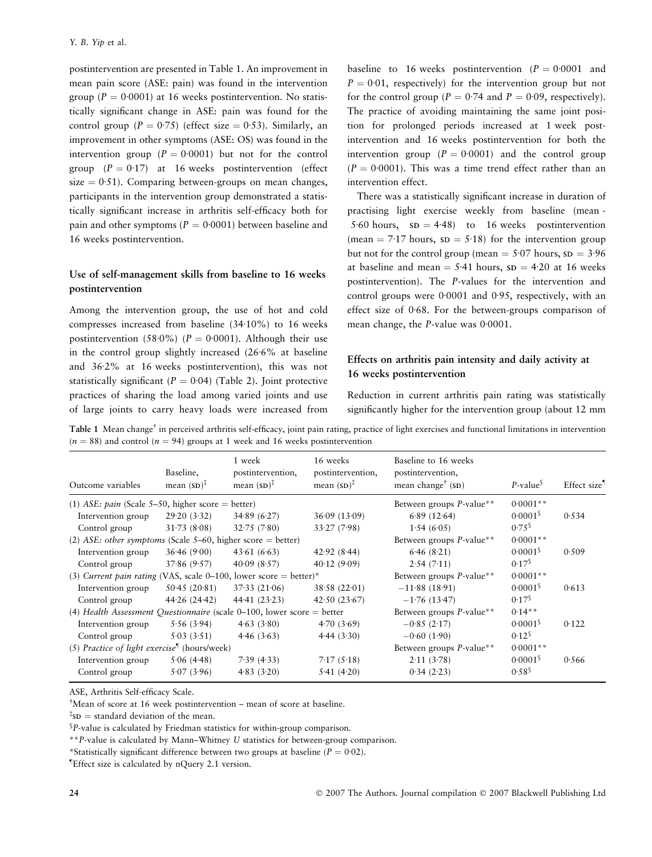postintervention are presented in Table 1. An improvement in mean pain score (ASE: pain) was found in the intervention group ( $P = 0.0001$ ) at 16 weeks postintervention. No statistically significant change in ASE: pain was found for the control group ( $P = 0.75$ ) (effect size  $= 0.53$ ). Similarly, an improvement in other symptoms (ASE: OS) was found in the intervention group  $(P = 0.0001)$  but not for the control group  $(P = 0.17)$  at 16 weeks postintervention (effect  $size = 0.51$ ). Comparing between-groups on mean changes, participants in the intervention group demonstrated a statistically significant increase in arthritis self-efficacy both for pain and other symptoms ( $P = 0.0001$ ) between baseline and 16 weeks postintervention.

# Use of self-management skills from baseline to 16 weeks postintervention

Among the intervention group, the use of hot and cold compresses increased from baseline  $(34.10\%)$  to 16 weeks postintervention (58.0%) ( $P = 0.0001$ ). Although their use in the control group slightly increased  $(26.6%$  at baseline and 36.2% at 16 weeks postintervention), this was not statistically significant ( $P = 0.04$ ) (Table 2). Joint protective practices of sharing the load among varied joints and use of large joints to carry heavy loads were increased from

baseline to 16 weeks postintervention ( $P = 0.0001$  and  $P = 0.01$ , respectively) for the intervention group but not for the control group ( $P = 0.74$  and  $P = 0.09$ , respectively). The practice of avoiding maintaining the same joint position for prolonged periods increased at 1 week postintervention and 16 weeks postintervention for both the intervention group ( $P = 0.0001$ ) and the control group  $(P = 0.0001)$ . This was a time trend effect rather than an intervention effect.

There was a statistically significant increase in duration of practising light exercise weekly from baseline (mean - 5.60 hours,  $SD = 4.48$ ) to 16 weeks postintervention (mean = 7.17 hours,  $SD = 5.18$ ) for the intervention group but not for the control group (mean  $= 5.07$  hours,  $SD = 3.96$ ) at baseline and mean  $=$  5.41 hours,  $SD = 4.20$  at 16 weeks postintervention). The P-values for the intervention and control groups were  $0.0001$  and  $0.95$ , respectively, with an effect size of  $0.68$ . For the between-groups comparison of mean change, the  $P$ -value was  $0.0001$ .

# Effects on arthritis pain intensity and daily activity at 16 weeks postintervention

Reduction in current arthritis pain rating was statistically significantly higher for the intervention group (about 12 mm

Table 1 Mean change<sup>†</sup> in perceived arthritis self-efficacy, joint pain rating, practice of light exercises and functional limitations in intervention  $(n = 88)$  and control ( $n = 94$ ) groups at 1 week and 16 weeks postintervention

|                                                                               |                        | 1 week                 | 16 weeks                         | Baseline to 16 weeks                         |                         |                          |
|-------------------------------------------------------------------------------|------------------------|------------------------|----------------------------------|----------------------------------------------|-------------------------|--------------------------|
|                                                                               | Baseline,              | postintervention,      | postintervention,                | postintervention,                            |                         |                          |
| Outcome variables                                                             | mean $(SD)^{\ddagger}$ | mean $(SD)^{\ddagger}$ | mean $(SD)^{\ddagger}$           | mean change <sup>†</sup> $(SD)$              | $P$ -value <sup>§</sup> | Effect size <sup>1</sup> |
| (1) ASE: pain (Scale 5–50, higher score = better)                             |                        |                        | Between groups <i>P</i> -value** | $0.0001**$                                   |                         |                          |
| Intervention group                                                            | 29.20(3.32)            | 34.89(6.27)            | 36.09(13.09)                     | 6.89(12.64)                                  | 0.0001                  | 0.534                    |
| Control group                                                                 | 31.73(8.08)            | 32.75(7.80)            | 33.27(7.98)                      | 1.54(6.05)                                   | $0.75^{\circ}$          |                          |
| (2) ASE: other symptoms (Scale 5–60, higher score = better)                   |                        |                        |                                  | Between groups P-value**                     | $0.0001**$              |                          |
| Intervention group                                                            | 36.46(9.00)            | 43.61(6.63)            | 42.92(8.44)                      | 6.46(8.21)                                   | 0.0001                  | 0.509                    |
| Control group                                                                 | 37.86(9.57)            | 40.09(8.57)            | 40.12(9.09)                      | 2.54(7.11)                                   | $0.17$ <sup>\$</sup>    |                          |
| (3) Current pain rating (VAS, scale 0-100, lower score = better)*             |                        |                        |                                  | Between groups <i>P</i> -value**             | $0.0001**$              |                          |
| Intervention group                                                            | 50.45(20.81)           | 37.33(21.06)           | 38.58(22.01)                     | $-11.88(18.91)$                              | 0.0001                  | 0.613                    |
| Control group                                                                 | 44.26(24.42)           | 44.41(23.23)           | 42.50(23.67)                     | $-1.76(13.47)$                               | $0.17$ <sup>\$</sup>    |                          |
| (4) Health Assessment Questionnaire (scale $0-100$ , lower score = better     |                        |                        |                                  | Between groups <i>P</i> -value**             | $0.14**$                |                          |
| Intervention group                                                            | 5.56(3.94)             | 4.63(3.80)             | 4.70(3.69)                       | $-0.85(2.17)$                                | 0.0001                  | 0.122                    |
| Control group                                                                 | 5.03(3.51)             | 4.46(3.63)             | 4.44(3.30)                       | $-0.60(1.90)$                                | $0.12^{\$}$             |                          |
| (5) Practice of light exercise <sup><math>\parallel</math></sup> (hours/week) |                        |                        |                                  | Between groups <i>P</i> -value <sup>**</sup> | $0.0001**$              |                          |
| Intervention group                                                            | 5.06(4.48)             | 7.39(4.33)             | 7.17(5.18)                       | 2.11(3.78)                                   | 0.0001                  | 0.566                    |
| Control group                                                                 | 5.07(3.96)             | 4.83(3.20)             | 5.41(4.20)                       | 0.34(2.23)                                   | 0.58 <sup>5</sup>       |                          |

ASE, Arthritis Self-efficacy Scale.

<sup>†</sup>Mean of score at 16 week postintervention – mean of score at baseline.

 $\sqrt[{\frac{1}{2}}S_D$  = standard deviation of the mean.

 $$P$$ -value is calculated by Friedman statistics for within-group comparison.

\*\*P-value is calculated by Mann–Whitney U statistics for between-group comparison.

\*Statistically significant difference between two groups at baseline ( $P = 0.02$ ).

– Effect size is calculated by nQuery 2.1 version.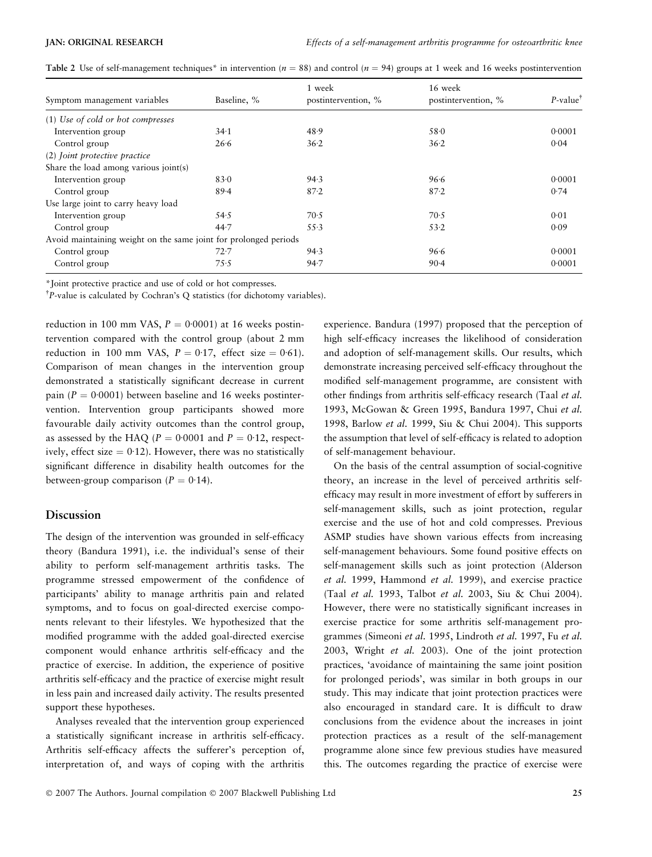|                                                                  |             | 1 week              | 16 week             |                         |
|------------------------------------------------------------------|-------------|---------------------|---------------------|-------------------------|
| Symptom management variables                                     | Baseline, % | postintervention, % | postintervention, % | $P$ -value <sup>†</sup> |
| (1) Use of cold or hot compresses                                |             |                     |                     |                         |
| Intervention group                                               | 34.1        | 48.9                | 58.0                | 0.0001                  |
| Control group                                                    | 26.6        | 36.2                | 36.2                | 0.04                    |
| (2) Joint protective practice                                    |             |                     |                     |                         |
| Share the load among various joint(s)                            |             |                     |                     |                         |
| Intervention group                                               | 83.0        | 94.3                | 96.6                | 0.0001                  |
| Control group                                                    | 89.4        | $87 - 2$            | 87.2                | 0.74                    |
| Use large joint to carry heavy load                              |             |                     |                     |                         |
| Intervention group                                               | 54.5        | 70.5                | 70.5                | 0.01                    |
| Control group                                                    | 44.7        | 55.3                | 53.2                | 0.09                    |
| Avoid maintaining weight on the same joint for prolonged periods |             |                     |                     |                         |
| Control group                                                    | 72.7        | 94.3                | 96.6                | 0.0001                  |
| Control group                                                    | 75.5        | 94.7                | $90 - 4$            | 0.0001                  |

Table 2 Use of self-management techniques\* in intervention ( $n = 88$ ) and control ( $n = 94$ ) groups at 1 week and 16 weeks postintervention

\*Joint protective practice and use of cold or hot compresses.

<sup>†</sup>P-value is calculated by Cochran's Q statistics (for dichotomy variables).

reduction in 100 mm VAS,  $P = 0.0001$  at 16 weeks postintervention compared with the control group (about 2 mm reduction in 100 mm VAS,  $P = 0.17$ , effect size = 0.61). Comparison of mean changes in the intervention group demonstrated a statistically significant decrease in current pain ( $P = 0.0001$ ) between baseline and 16 weeks postintervention. Intervention group participants showed more favourable daily activity outcomes than the control group, as assessed by the HAQ ( $P = 0.0001$  and  $P = 0.12$ , respectively, effect size  $= 0.12$ ). However, there was no statistically significant difference in disability health outcomes for the between-group comparison ( $P = 0.14$ ).

#### Discussion

The design of the intervention was grounded in self-efficacy theory (Bandura 1991), i.e. the individual's sense of their ability to perform self-management arthritis tasks. The programme stressed empowerment of the confidence of participants' ability to manage arthritis pain and related symptoms, and to focus on goal-directed exercise components relevant to their lifestyles. We hypothesized that the modified programme with the added goal-directed exercise component would enhance arthritis self-efficacy and the practice of exercise. In addition, the experience of positive arthritis self-efficacy and the practice of exercise might result in less pain and increased daily activity. The results presented support these hypotheses.

Analyses revealed that the intervention group experienced a statistically significant increase in arthritis self-efficacy. Arthritis self-efficacy affects the sufferer's perception of, interpretation of, and ways of coping with the arthritis experience. Bandura (1997) proposed that the perception of high self-efficacy increases the likelihood of consideration and adoption of self-management skills. Our results, which demonstrate increasing perceived self-efficacy throughout the modified self-management programme, are consistent with other findings from arthritis self-efficacy research (Taal et al. 1993, McGowan & Green 1995, Bandura 1997, Chui et al. 1998, Barlow et al. 1999, Siu & Chui 2004). This supports the assumption that level of self-efficacy is related to adoption of self-management behaviour.

On the basis of the central assumption of social-cognitive theory, an increase in the level of perceived arthritis selfefficacy may result in more investment of effort by sufferers in self-management skills, such as joint protection, regular exercise and the use of hot and cold compresses. Previous ASMP studies have shown various effects from increasing self-management behaviours. Some found positive effects on self-management skills such as joint protection (Alderson et al. 1999, Hammond et al. 1999), and exercise practice (Taal et al. 1993, Talbot et al. 2003, Siu & Chui 2004). However, there were no statistically significant increases in exercise practice for some arthritis self-management programmes (Simeoni et al. 1995, Lindroth et al. 1997, Fu et al. 2003, Wright et al. 2003). One of the joint protection practices, 'avoidance of maintaining the same joint position for prolonged periods', was similar in both groups in our study. This may indicate that joint protection practices were also encouraged in standard care. It is difficult to draw conclusions from the evidence about the increases in joint protection practices as a result of the self-management programme alone since few previous studies have measured this. The outcomes regarding the practice of exercise were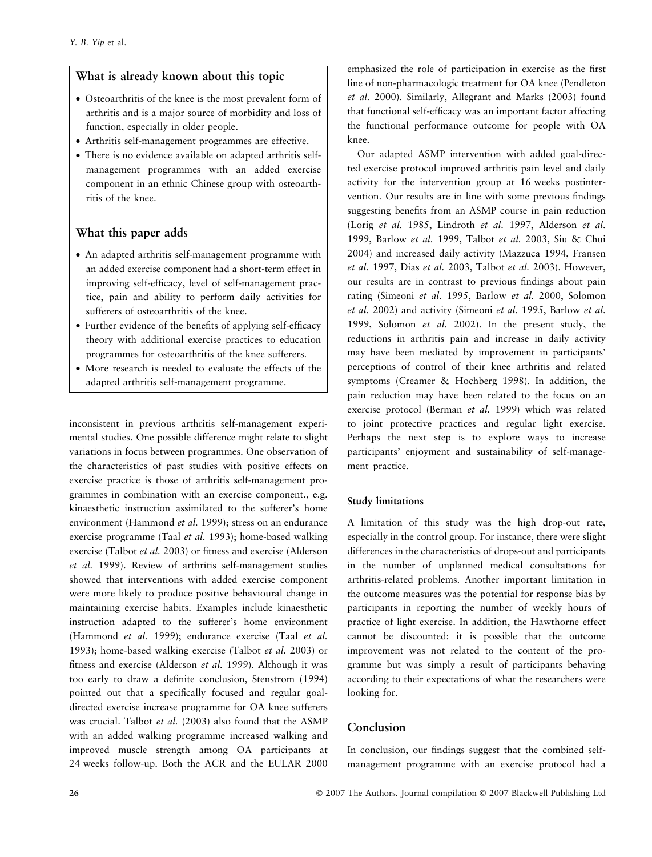# What is already known about this topic

- Osteoarthritis of the knee is the most prevalent form of arthritis and is a major source of morbidity and loss of function, especially in older people.
- Arthritis self-management programmes are effective.
- There is no evidence available on adapted arthritis selfmanagement programmes with an added exercise component in an ethnic Chinese group with osteoarthritis of the knee.

# What this paper adds

- An adapted arthritis self-management programme with an added exercise component had a short-term effect in improving self-efficacy, level of self-management practice, pain and ability to perform daily activities for sufferers of osteoarthritis of the knee.
- Further evidence of the benefits of applying self-efficacy theory with additional exercise practices to education programmes for osteoarthritis of the knee sufferers.
- More research is needed to evaluate the effects of the adapted arthritis self-management programme.

inconsistent in previous arthritis self-management experimental studies. One possible difference might relate to slight variations in focus between programmes. One observation of the characteristics of past studies with positive effects on exercise practice is those of arthritis self-management programmes in combination with an exercise component., e.g. kinaesthetic instruction assimilated to the sufferer's home environment (Hammond et al. 1999); stress on an endurance exercise programme (Taal *et al.* 1993); home-based walking exercise (Talbot et al. 2003) or fitness and exercise (Alderson et al. 1999). Review of arthritis self-management studies showed that interventions with added exercise component were more likely to produce positive behavioural change in maintaining exercise habits. Examples include kinaesthetic instruction adapted to the sufferer's home environment (Hammond et al. 1999); endurance exercise (Taal et al. 1993); home-based walking exercise (Talbot et al. 2003) or fitness and exercise (Alderson et al. 1999). Although it was too early to draw a definite conclusion, Stenstrom (1994) pointed out that a specifically focused and regular goaldirected exercise increase programme for OA knee sufferers was crucial. Talbot et al. (2003) also found that the ASMP with an added walking programme increased walking and improved muscle strength among OA participants at 24 weeks follow-up. Both the ACR and the EULAR 2000

emphasized the role of participation in exercise as the first line of non-pharmacologic treatment for OA knee (Pendleton et al. 2000). Similarly, Allegrant and Marks (2003) found that functional self-efficacy was an important factor affecting the functional performance outcome for people with OA knee.

Our adapted ASMP intervention with added goal-directed exercise protocol improved arthritis pain level and daily activity for the intervention group at 16 weeks postintervention. Our results are in line with some previous findings suggesting benefits from an ASMP course in pain reduction (Lorig et al. 1985, Lindroth et al. 1997, Alderson et al. 1999, Barlow et al. 1999, Talbot et al. 2003, Siu & Chui 2004) and increased daily activity (Mazzuca 1994, Fransen et al. 1997, Dias et al. 2003, Talbot et al. 2003). However, our results are in contrast to previous findings about pain rating (Simeoni et al. 1995, Barlow et al. 2000, Solomon et al. 2002) and activity (Simeoni et al. 1995, Barlow et al. 1999, Solomon et al. 2002). In the present study, the reductions in arthritis pain and increase in daily activity may have been mediated by improvement in participants' perceptions of control of their knee arthritis and related symptoms (Creamer & Hochberg 1998). In addition, the pain reduction may have been related to the focus on an exercise protocol (Berman et al. 1999) which was related to joint protective practices and regular light exercise. Perhaps the next step is to explore ways to increase participants' enjoyment and sustainability of self-management practice.

#### Study limitations

A limitation of this study was the high drop-out rate, especially in the control group. For instance, there were slight differences in the characteristics of drops-out and participants in the number of unplanned medical consultations for arthritis-related problems. Another important limitation in the outcome measures was the potential for response bias by participants in reporting the number of weekly hours of practice of light exercise. In addition, the Hawthorne effect cannot be discounted: it is possible that the outcome improvement was not related to the content of the programme but was simply a result of participants behaving according to their expectations of what the researchers were looking for.

#### Conclusion

In conclusion, our findings suggest that the combined selfmanagement programme with an exercise protocol had a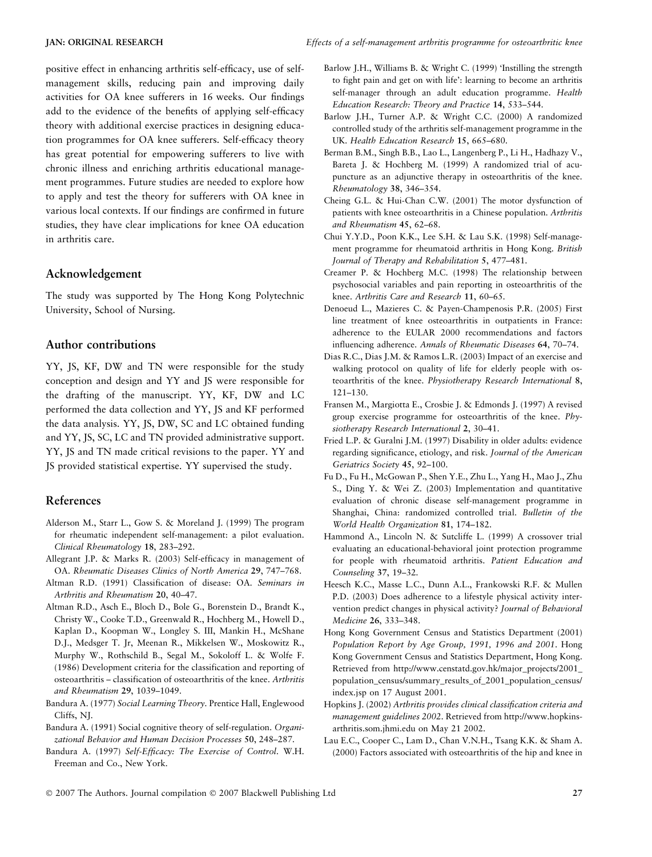positive effect in enhancing arthritis self-efficacy, use of selfmanagement skills, reducing pain and improving daily activities for OA knee sufferers in 16 weeks. Our findings add to the evidence of the benefits of applying self-efficacy theory with additional exercise practices in designing education programmes for OA knee sufferers. Self-efficacy theory has great potential for empowering sufferers to live with chronic illness and enriching arthritis educational management programmes. Future studies are needed to explore how to apply and test the theory for sufferers with OA knee in various local contexts. If our findings are confirmed in future studies, they have clear implications for knee OA education in arthritis care.

## Acknowledgement

The study was supported by The Hong Kong Polytechnic University, School of Nursing.

# Author contributions

YY, JS, KF, DW and TN were responsible for the study conception and design and YY and JS were responsible for the drafting of the manuscript. YY, KF, DW and LC performed the data collection and YY, JS and KF performed the data analysis. YY, JS, DW, SC and LC obtained funding and YY, JS, SC, LC and TN provided administrative support. YY, JS and TN made critical revisions to the paper. YY and JS provided statistical expertise. YY supervised the study.

## References

- Alderson M., Starr L., Gow S. & Moreland J. (1999) The program for rheumatic independent self-management: a pilot evaluation. Clinical Rheumatology 18, 283–292.
- Allegrant J.P. & Marks R. (2003) Self-efficacy in management of OA. Rheumatic Diseases Clinics of North America 29, 747–768.
- Altman R.D. (1991) Classification of disease: OA. Seminars in Arthritis and Rheumatism 20, 40–47.
- Altman R.D., Asch E., Bloch D., Bole G., Borenstein D., Brandt K., Christy W., Cooke T.D., Greenwald R., Hochberg M., Howell D., Kaplan D., Koopman W., Longley S. III, Mankin H., McShane D.J., Medsger T. Jr, Meenan R., Mikkelsen W., Moskowitz R., Murphy W., Rothschild B., Segal M., Sokoloff L. & Wolfe F. (1986) Development criteria for the classification and reporting of osteoarthritis – classification of osteoarthritis of the knee. Arthritis and Rheumatism 29, 1039–1049.
- Bandura A. (1977) Social Learning Theory. Prentice Hall, Englewood Cliffs, NJ.
- Bandura A. (1991) Social cognitive theory of self-regulation. Organizational Behavior and Human Decision Processes 50, 248–287.
- Bandura A. (1997) Self-Efficacy: The Exercise of Control. W.H. Freeman and Co., New York.
- Barlow J.H., Williams B. & Wright C. (1999) 'Instilling the strength to fight pain and get on with life': learning to become an arthritis self-manager through an adult education programme. Health Education Research: Theory and Practice 14, 533–544.
- Barlow J.H., Turner A.P. & Wright C.C. (2000) A randomized controlled study of the arthritis self-management programme in the UK. Health Education Research 15, 665–680.
- Berman B.M., Singh B.B., Lao L., Langenberg P., Li H., Hadhazy V., Bareta J. & Hochberg M. (1999) A randomized trial of acupuncture as an adjunctive therapy in osteoarthritis of the knee. Rheumatology 38, 346–354.
- Cheing G.L. & Hui-Chan C.W. (2001) The motor dysfunction of patients with knee osteoarthritis in a Chinese population. Arthritis and Rheumatism 45, 62–68.
- Chui Y.Y.D., Poon K.K., Lee S.H. & Lau S.K. (1998) Self-management programme for rheumatoid arthritis in Hong Kong. British Journal of Therapy and Rehabilitation 5, 477–481.
- Creamer P. & Hochberg M.C. (1998) The relationship between psychosocial variables and pain reporting in osteoarthritis of the knee. Arthritis Care and Research 11, 60–65.
- Denoeud L., Mazieres C. & Payen-Champenosis P.R. (2005) First line treatment of knee osteoarthritis in outpatients in France: adherence to the EULAR 2000 recommendations and factors influencing adherence. Annals of Rheumatic Diseases 64, 70–74.
- Dias R.C., Dias J.M. & Ramos L.R. (2003) Impact of an exercise and walking protocol on quality of life for elderly people with osteoarthritis of the knee. Physiotherapy Research International 8, 121–130.
- Fransen M., Margiotta E., Crosbie J. & Edmonds J. (1997) A revised group exercise programme for osteoarthritis of the knee. Physiotherapy Research International 2, 30–41.
- Fried L.P. & Guralni J.M. (1997) Disability in older adults: evidence regarding significance, etiology, and risk. Journal of the American Geriatrics Society 45, 92–100.
- Fu D., Fu H., McGowan P., Shen Y.E., Zhu L., Yang H., Mao J., Zhu S., Ding Y. & Wei Z. (2003) Implementation and quantitative evaluation of chronic disease self-management programme in Shanghai, China: randomized controlled trial. Bulletin of the World Health Organization 81, 174–182.
- Hammond A., Lincoln N. & Sutcliffe L. (1999) A crossover trial evaluating an educational-behavioral joint protection programme for people with rheumatoid arthritis. Patient Education and Counseling 37, 19–32.
- Heesch K.C., Masse L.C., Dunn A.L., Frankowski R.F. & Mullen P.D. (2003) Does adherence to a lifestyle physical activity intervention predict changes in physical activity? Journal of Behavioral Medicine 26, 333–348.
- Hong Kong Government Census and Statistics Department (2001) Population Report by Age Group, 1991, 1996 and 2001. Hong Kong Government Census and Statistics Department, Hong Kong. Retrieved from http://www.censtatd.gov.hk/major\_projects/2001\_ population\_census/summary\_results\_of\_2001\_population\_census/ index.jsp on 17 August 2001.
- Hopkins J. (2002) Arthritis provides clinical classification criteria and management guidelines 2002. Retrieved from http://www.hopkinsarthritis.som.jhmi.edu on May 21 2002.
- Lau E.C., Cooper C., Lam D., Chan V.N.H., Tsang K.K. & Sham A. (2000) Factors associated with osteoarthritis of the hip and knee in